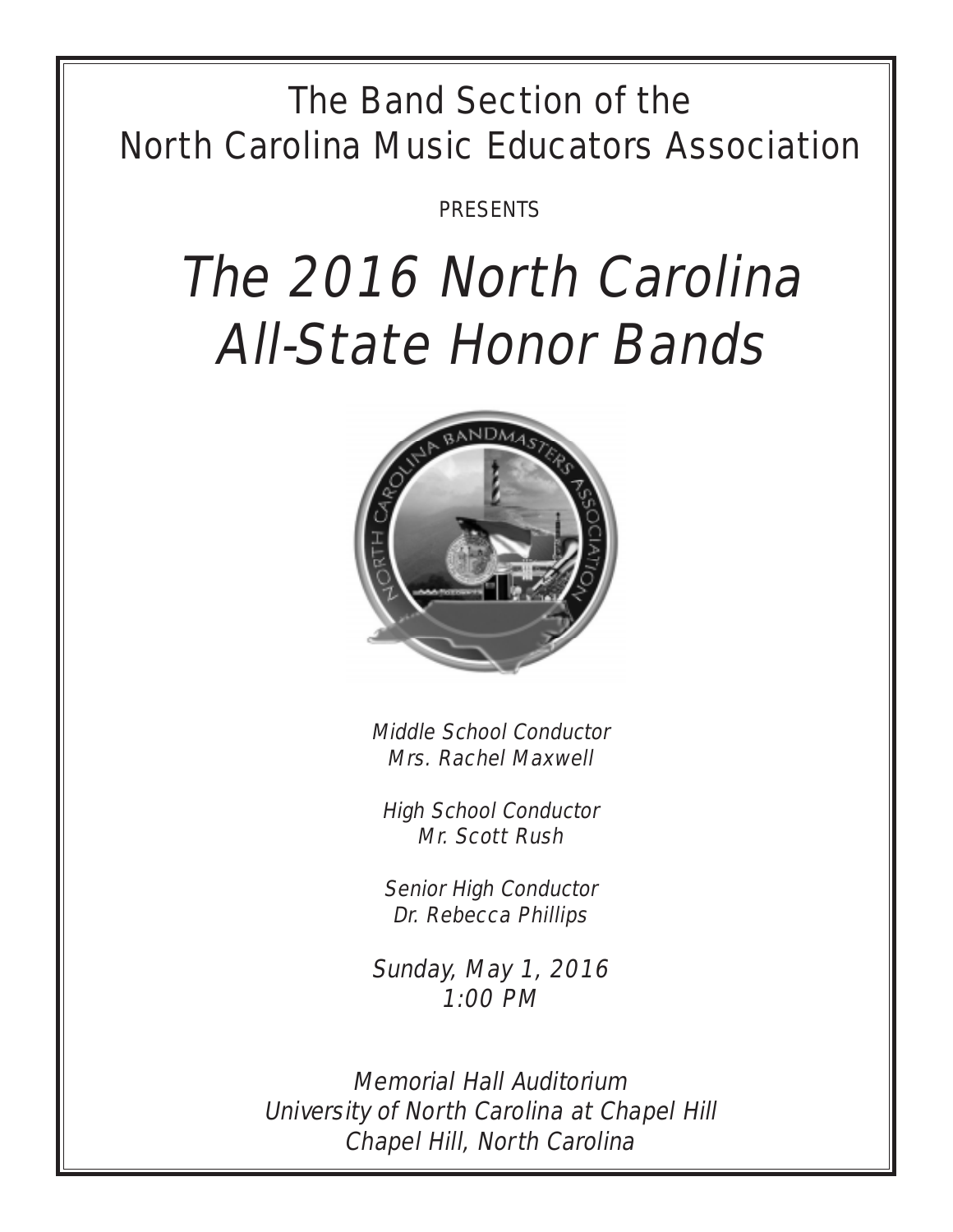## The Band Section of the North Carolina Music Educators Association

PRESENTS

# The 2016 North Carolina All-State Honor Bands



Middle School Conductor Mrs. Rachel Maxwell

High School Conductor Mr. Scott Rush

Senior High Conductor Dr. Rebecca Phillips

Sunday, May 1, 2016 1:00 PM

Memorial Hall Auditorium University of North Carolina at Chapel Hill Chapel Hill, North Carolina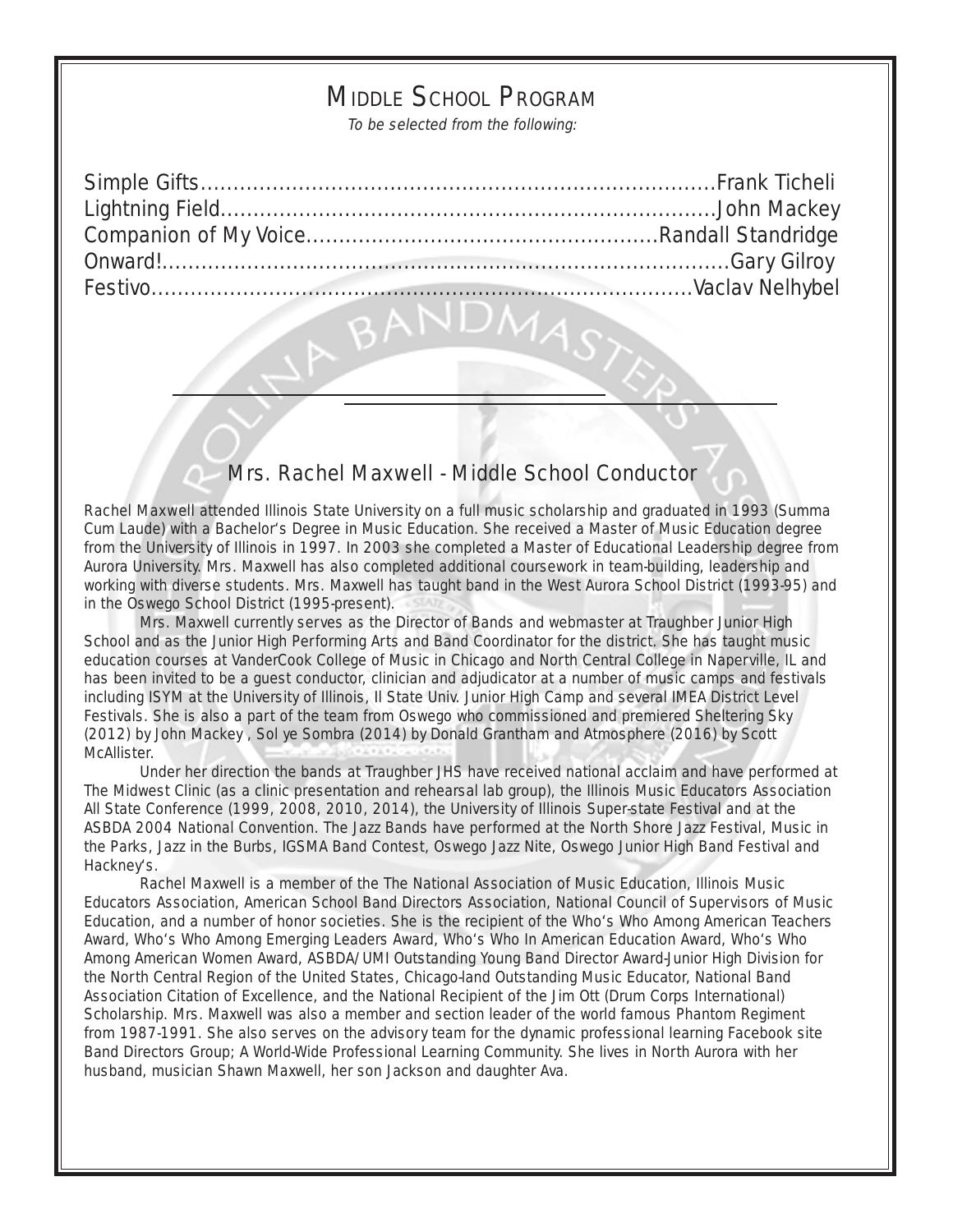## MIDDLE SCHOOL PROGRAM

To be selected from the following:

4.

### Mrs. Rachel Maxwell - Middle School Conductor

Rachel Maxwell attended Illinois State University on a full music scholarship and graduated in 1993 (Summa Cum Laude) with a Bachelor's Degree in Music Education. She received a Master of Music Education degree from the University of Illinois in 1997. In 2003 she completed a Master of Educational Leadership degree from Aurora University. Mrs. Maxwell has also completed additional coursework in team-building, leadership and working with diverse students. Mrs. Maxwell has taught band in the West Aurora School District (1993-95) and in the Oswego School District (1995-present).

Mrs. Maxwell currently serves as the Director of Bands and webmaster at Traughber Junior High School and as the Junior High Performing Arts and Band Coordinator for the district. She has taught music education courses at VanderCook College of Music in Chicago and North Central College in Naperville, IL and has been invited to be a guest conductor, clinician and adjudicator at a number of music camps and festivals including ISYM at the University of Illinois, Il State Univ. Junior High Camp and several IMEA District Level Festivals. She is also a part of the team from Oswego who commissioned and premiered Sheltering Sky (2012) by John Mackey , Sol ye Sombra (2014) by Donald Grantham and Atmosphere (2016) by Scott McAllister.

Under her direction the bands at Traughber JHS have received national acclaim and have performed at The Midwest Clinic (as a clinic presentation and rehearsal lab group), the Illinois Music Educators Association All State Conference (1999, 2008, 2010, 2014), the University of Illinois Super-state Festival and at the ASBDA 2004 National Convention. The Jazz Bands have performed at the North Shore Jazz Festival, Music in the Parks, Jazz in the Burbs, IGSMA Band Contest, Oswego Jazz Nite, Oswego Junior High Band Festival and Hackney's.

Rachel Maxwell is a member of the The National Association of Music Education, Illinois Music Educators Association, American School Band Directors Association, National Council of Supervisors of Music Education, and a number of honor societies. She is the recipient of the Who's Who Among American Teachers Award, Who's Who Among Emerging Leaders Award, Who's Who In American Education Award, Who's Who Among American Women Award, ASBDA/UMI Outstanding Young Band Director Award-Junior High Division for the North Central Region of the United States, Chicago-land Outstanding Music Educator, National Band Association Citation of Excellence, and the National Recipient of the Jim Ott (Drum Corps International) Scholarship. Mrs. Maxwell was also a member and section leader of the world famous Phantom Regiment from 1987-1991. She also serves on the advisory team for the dynamic professional learning Facebook site Band Directors Group; A World-Wide Professional Learning Community. She lives in North Aurora with her husband, musician Shawn Maxwell, her son Jackson and daughter Ava.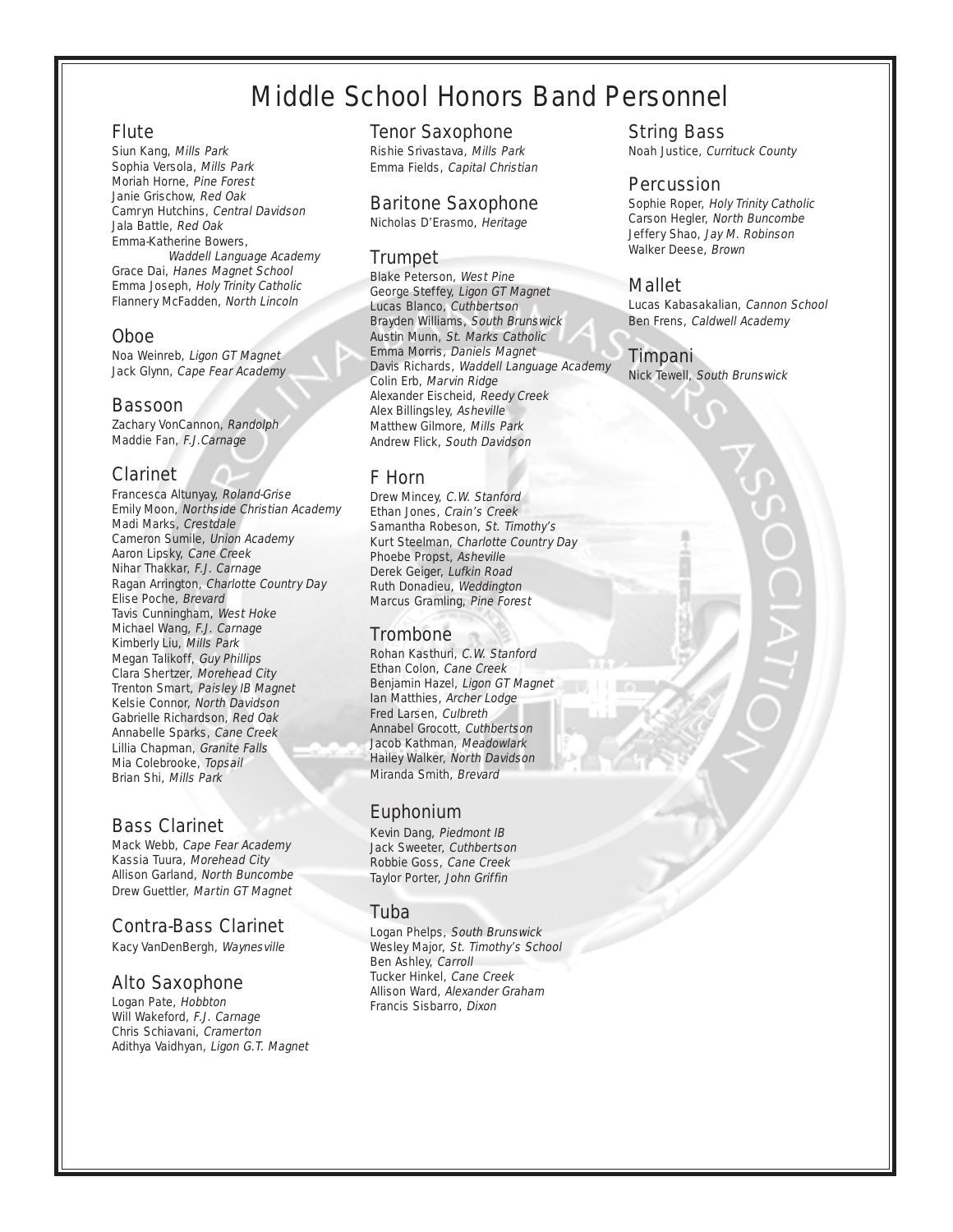## Middle School Honors Band Personnel

#### Flute

Siun Kang, Mills Park Sophia Versola, Mills Park Moriah Horne, Pine Forest Janie Grischow, Red Oak Camryn Hutchins, Central Davidson Jala Battle, Red Oak Emma-Katherine Bowers, Waddell Language Academy Grace Dai, Hanes Magnet School Emma Joseph, Holy Trinity Catholic Flannery McFadden, North Lincoln

#### Oboe

Noa Weinreb, Ligon GT Magnet Jack Glynn, Cape Fear Academy

#### Bassoon

Zachary VonCannon, Randolph Maddie Fan, F.J.Carnage

#### Clarinet

Francesca Altunyay, Roland-Grise Emily Moon, Northside Christian Academy Madi Marks, Crestdale Cameron Sumile, Union Academy Aaron Lipsky, Cane Creek Nihar Thakkar, F.J. Carnage Ragan Arrington, Charlotte Country Day Elise Poche, Brevard Tavis Cunningham, West Hoke Michael Wang, F.J. Carnage Kimberly Liu, Mills Park Megan Talikoff, Guy Phillips Clara Shertzer, Morehead City Trenton Smart, Paisley IB Magnet Kelsie Connor, North Davidson Gabrielle Richardson, Red Oak Annabelle Sparks, Cane Creek Lillia Chapman, Granite Falls Mia Colebrooke, Topsail Brian Shi, Mills Park

#### Bass Clarinet

Mack Webb, Cape Fear Academy Kassia Tuura, Morehead City Allison Garland, North Buncombe Drew Guettler, Martin GT Magnet

#### Contra-Bass Clarinet

Kacy VanDenBergh, Waynesville

#### Alto Saxophone

Logan Pate, Hobbton Will Wakeford, F.J. Carnage Chris Schiavani, Cramerton Adithya Vaidhyan, Ligon G.T. Magnet

#### Tenor Saxophone

Rishie Srivastava, Mills Park Emma Fields, Capital Christian

#### Baritone Saxophone

Nicholas D'Erasmo, Heritage

#### **Trumpet**

Blake Peterson, West Pine George Steffey, Ligon GT Magnet Lucas Blanco, Cuthbertson Brayden Williams, South Brunswick Austin Munn, St. Marks Catholic Emma Morris, Daniels Magnet Davis Richards, Waddell Language Academy Colin Erb, Marvin Ridge Alexander Eischeid, Reedy Creek Alex Billingsley, Asheville Matthew Gilmore, Mills Park Andrew Flick, South Davidson

#### F Horn

Drew Mincey, C.W. Stanford Ethan Jones, Crain's Creek Samantha Robeson, St. Timothy's Kurt Steelman, Charlotte Country Day Phoebe Propst, Asheville Derek Geiger, Lufkin Road Ruth Donadieu, Weddington Marcus Gramling, Pine Forest

#### **Trombone**

Rohan Kasthuri, C.W. Stanford Ethan Colon, Cane Creek Benjamin Hazel, Ligon GT Magnet Ian Matthies, Archer Lodge Fred Larsen, Culbreth Annabel Grocott, Cuthbertson Jacob Kathman, Meadowlark Hailey Walker, North Davidson Miranda Smith, Brevard

#### Euphonium

Kevin Dang, Piedmont IB Jack Sweeter, Cuthbertson Robbie Goss, Cane Creek Taylor Porter, John Griffin

#### Tuba

Logan Phelps, South Brunswick Wesley Major, St. Timothy's School Ben Ashley, Carroll Tucker Hinkel, Cane Creek Allison Ward, Alexander Graham Francis Sisbarro, Dixon

#### String Bass

Noah Justice, Currituck County

#### **Percussion**

Sophie Roper, Holy Trinity Catholic Carson Hegler, North Buncombe Jeffery Shao, Jay M. Robinson Walker Deese, Brown

#### Mallet

Lucas Kabasakalian, Cannon School Ben Frens, Caldwell Academy

#### Timpani

Nick Tewell, South Brunswick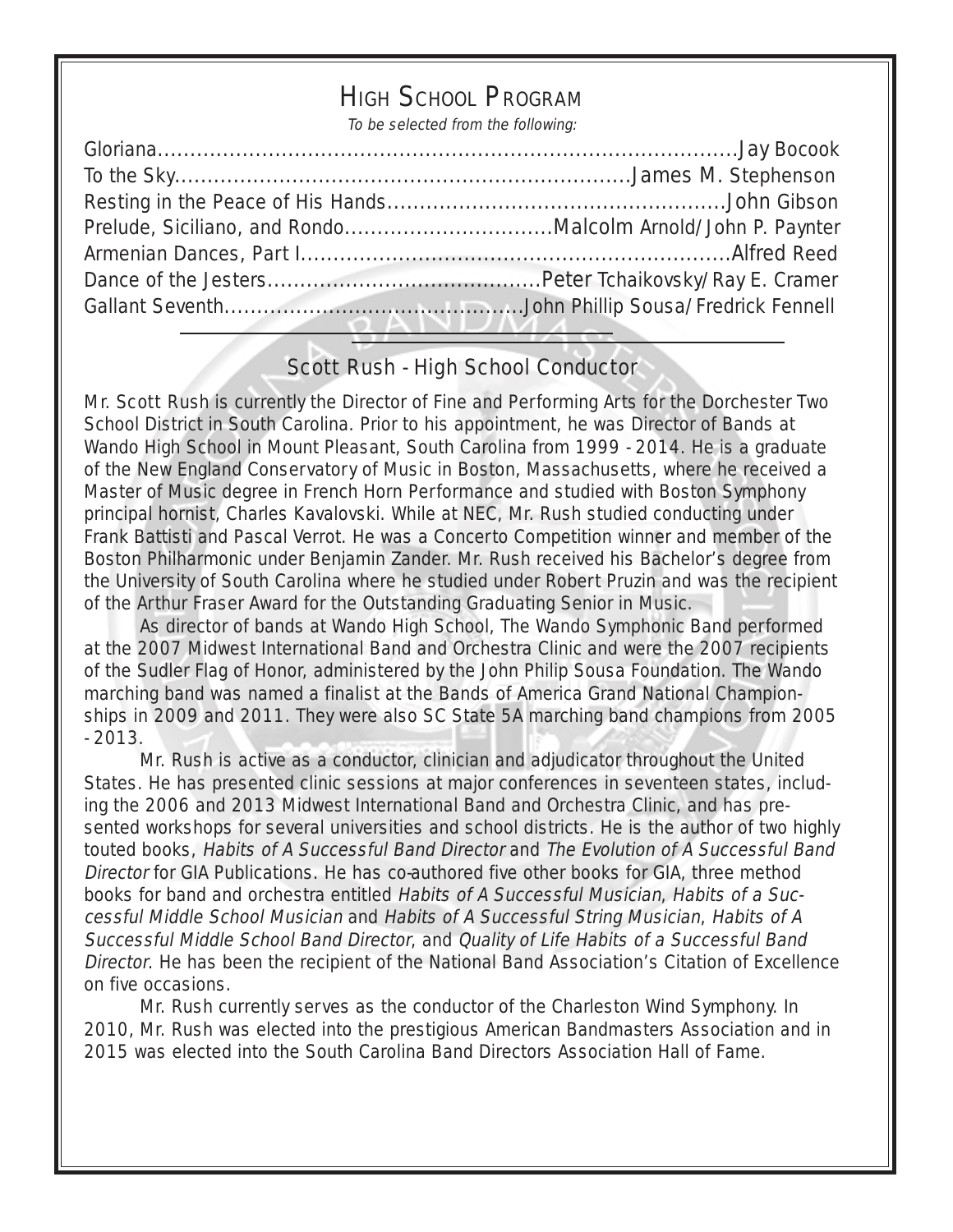## HIGH SCHOOL PROGRAM

To be selected from the following:

## Scott Rush - High School Conductor

Mr. Scott Rush is currently the Director of Fine and Performing Arts for the Dorchester Two School District in South Carolina. Prior to his appointment, he was Director of Bands at Wando High School in Mount Pleasant, South Carolina from 1999 - 2014. He is a graduate of the New England Conservatory of Music in Boston, Massachusetts, where he received a Master of Music degree in French Horn Performance and studied with Boston Symphony principal hornist, Charles Kavalovski. While at NEC, Mr. Rush studied conducting under Frank Battisti and Pascal Verrot. He was a Concerto Competition winner and member of the Boston Philharmonic under Benjamin Zander. Mr. Rush received his Bachelor's degree from the University of South Carolina where he studied under Robert Pruzin and was the recipient of the Arthur Fraser Award for the Outstanding Graduating Senior in Music.

As director of bands at Wando High School, The Wando Symphonic Band performed at the 2007 Midwest International Band and Orchestra Clinic and were the 2007 recipients of the Sudler Flag of Honor, administered by the John Philip Sousa Foundation. The Wando marching band was named a finalist at the Bands of America Grand National Championships in 2009 and 2011. They were also SC State 5A marching band champions from 2005 - 2013.

Mr. Rush is active as a conductor, clinician and adjudicator throughout the United States. He has presented clinic sessions at major conferences in seventeen states, including the 2006 and 2013 Midwest International Band and Orchestra Clinic, and has presented workshops for several universities and school districts. He is the author of two highly touted books, Habits of A Successful Band Director and The Evolution of A Successful Band Director for GIA Publications. He has co-authored five other books for GIA, three method books for band and orchestra entitled Habits of A Successful Musician, Habits of a Successful Middle School Musician and Habits of A Successful String Musician, Habits of A Successful Middle School Band Director, and Quality of Life Habits of a Successful Band Director. He has been the recipient of the National Band Association's Citation of Excellence on five occasions.

Mr. Rush currently serves as the conductor of the Charleston Wind Symphony. In 2010, Mr. Rush was elected into the prestigious American Bandmasters Association and in 2015 was elected into the South Carolina Band Directors Association Hall of Fame.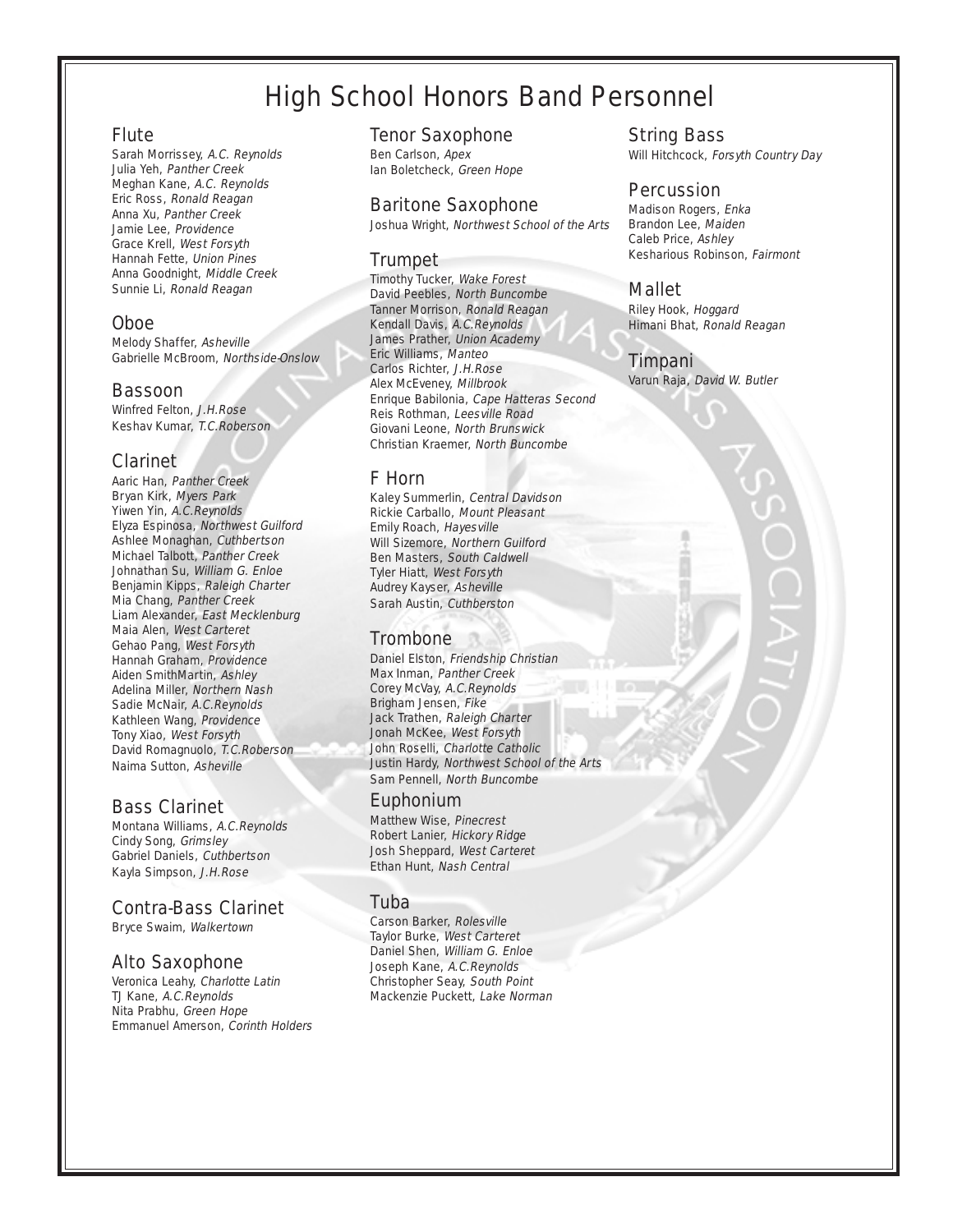## High School Honors Band Personnel

#### Flute

Sarah Morrissey, A.C. Reynolds Julia Yeh, Panther Creek Meghan Kane, A.C. Reynolds Eric Ross, Ronald Reagan Anna Xu, Panther Creek Jamie Lee, Providence Grace Krell, West Forsyth Hannah Fette, Union Pines Anna Goodnight, Middle Creek Sunnie Li, Ronald Reagan

#### Oboe

Melody Shaffer, Asheville Gabrielle McBroom, Northside-Onslow

#### Bassoon

Winfred Felton, J.H.Rose Keshav Kumar, T.C.Roberson

#### Clarinet

Aaric Han, Panther Creek Bryan Kirk, Myers Park Yiwen Yin, A.C.Reynolds Elyza Espinosa, Northwest Guilford Ashlee Monaghan, Cuthbertson Michael Talbott, Panther Creek Johnathan Su, William G. Enloe Benjamin Kipps, Raleigh Charter Mia Chang, Panther Creek Liam Alexander, East Mecklenburg Maia Alen, West Carteret Gehao Pang, West Forsyth Hannah Graham, Providence Aiden SmithMartin, Ashley Adelina Miller, Northern Nash Sadie McNair, A.C.Reynolds Kathleen Wang, Providence Tony Xiao, West Forsyth David Romagnuolo, T.C.Roberson Naima Sutton, Asheville

#### Bass Clarinet

Montana Williams, A.C.Reynolds Cindy Song, Grimsley Gabriel Daniels, Cuthbertson Kayla Simpson, J.H.Rose

#### Contra-Bass Clarinet

Bryce Swaim, Walkertown

#### Alto Saxophone

Veronica Leahy, Charlotte Latin TJ Kane, A.C.Reynolds Nita Prabhu, Green Hope Emmanuel Amerson, Corinth Holders

#### Tenor Saxophone

Ben Carlson, Apex Ian Boletcheck, Green Hope

#### Baritone Saxophone

Joshua Wright, Northwest School of the Arts

#### Trumpet

Timothy Tucker, Wake Forest David Peebles, North Buncombe Tanner Morrison, Ronald Reagan Kendall Davis, A.C.Reynolds James Prather, Union Academy Eric Williams, Manteo Carlos Richter, J.H.Rose Alex McEveney, Millbrook Enrique Babilonia, Cape Hatteras Second Reis Rothman, Leesville Road Giovani Leone, North Brunswick Christian Kraemer, North Buncombe

#### F Horn

Kaley Summerlin, Central Davidson Rickie Carballo, Mount Pleasant Emily Roach, Hayesville Will Sizemore, Northern Guilford Ben Masters, South Caldwell Tyler Hiatt, West Forsyth Audrey Kayser, Asheville Sarah Austin, Cuthberston

#### **Trombone**

Daniel Elston, Friendship Christian Max Inman, Panther Creek Corey McVay, A.C.Reynolds Brigham Jensen, Fike Jack Trathen, Raleigh Charter Jonah McKee, West Forsyth John Roselli, Charlotte Catholic Justin Hardy, Northwest School of the Arts Sam Pennell, North Buncombe

#### Euphonium

Matthew Wise, Pinecrest Robert Lanier, Hickory Ridge Josh Sheppard, West Carteret Ethan Hunt, Nash Central

#### Tuba

Carson Barker, Rolesville Taylor Burke, West Carteret Daniel Shen, William G. Enloe Joseph Kane, A.C.Reynolds Christopher Seay, South Point Mackenzie Puckett, Lake Norman String Bass

Will Hitchcock, Forsyth Country Day

#### **Percussion**

Madison Rogers, Enka Brandon Lee, Maiden Caleb Price, Ashley Kesharious Robinson, Fairmont

#### Mallet

Riley Hook, Hoggard Himani Bhat, Ronald Reagan

#### Timpani

Varun Raja, David W. Butler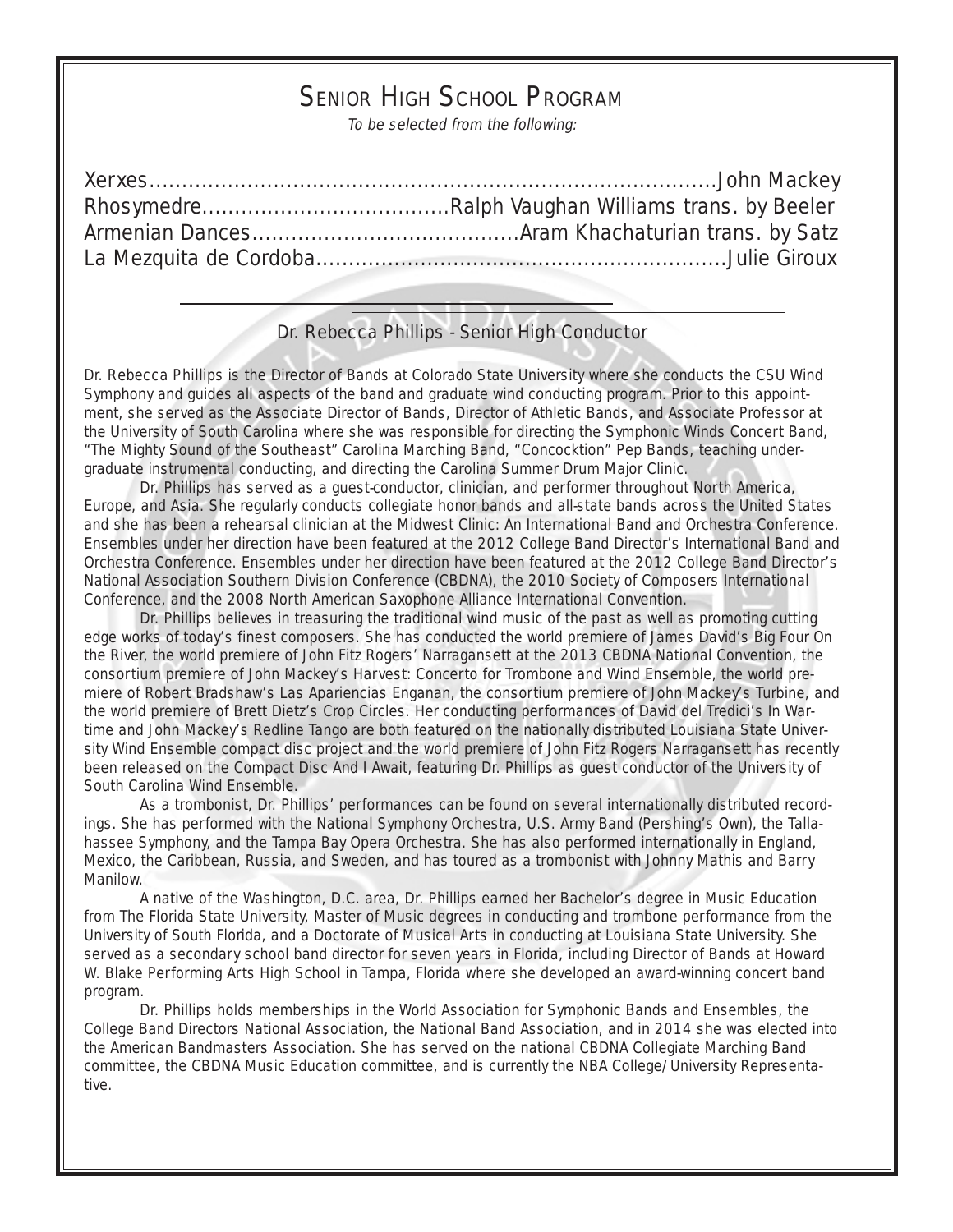## SENIOR HIGH SCHOOL PROGRAM

To be selected from the following:

#### Dr. Rebecca Phillips - Senior High Conductor

Dr. Rebecca Phillips is the Director of Bands at Colorado State University where she conducts the CSU Wind Symphony and guides all aspects of the band and graduate wind conducting program. Prior to this appointment, she served as the Associate Director of Bands, Director of Athletic Bands, and Associate Professor at the University of South Carolina where she was responsible for directing the Symphonic Winds Concert Band, "The Mighty Sound of the Southeast" Carolina Marching Band, "Concocktion" Pep Bands, teaching undergraduate instrumental conducting, and directing the Carolina Summer Drum Major Clinic.

Dr. Phillips has served as a guest-conductor, clinician, and performer throughout North America, Europe, and Asia. She regularly conducts collegiate honor bands and all-state bands across the United States and she has been a rehearsal clinician at the Midwest Clinic: An International Band and Orchestra Conference. Ensembles under her direction have been featured at the 2012 College Band Director's International Band and Orchestra Conference. Ensembles under her direction have been featured at the 2012 College Band Director's National Association Southern Division Conference (CBDNA), the 2010 Society of Composers International Conference, and the 2008 North American Saxophone Alliance International Convention.

Dr. Phillips believes in treasuring the traditional wind music of the past as well as promoting cutting edge works of today's finest composers. She has conducted the world premiere of James David's Big Four On the River, the world premiere of John Fitz Rogers' Narragansett at the 2013 CBDNA National Convention, the consortium premiere of John Mackey's Harvest: Concerto for Trombone and Wind Ensemble, the world premiere of Robert Bradshaw's Las Apariencias Enganan, the consortium premiere of John Mackey's Turbine, and the world premiere of Brett Dietz's Crop Circles. Her conducting performances of David del Tredici's In Wartime and John Mackey's Redline Tango are both featured on the nationally distributed Louisiana State University Wind Ensemble compact disc project and the world premiere of John Fitz Rogers Narragansett has recently been released on the Compact Disc And I Await, featuring Dr. Phillips as guest conductor of the University of South Carolina Wind Ensemble.

As a trombonist, Dr. Phillips' performances can be found on several internationally distributed recordings. She has performed with the National Symphony Orchestra, U.S. Army Band (Pershing's Own), the Tallahassee Symphony, and the Tampa Bay Opera Orchestra. She has also performed internationally in England, Mexico, the Caribbean, Russia, and Sweden, and has toured as a trombonist with Johnny Mathis and Barry Manilow.

A native of the Washington, D.C. area, Dr. Phillips earned her Bachelor's degree in Music Education from The Florida State University, Master of Music degrees in conducting and trombone performance from the University of South Florida, and a Doctorate of Musical Arts in conducting at Louisiana State University. She served as a secondary school band director for seven years in Florida, including Director of Bands at Howard W. Blake Performing Arts High School in Tampa, Florida where she developed an award-winning concert band program.

Dr. Phillips holds memberships in the World Association for Symphonic Bands and Ensembles, the College Band Directors National Association, the National Band Association, and in 2014 she was elected into the American Bandmasters Association. She has served on the national CBDNA Collegiate Marching Band committee, the CBDNA Music Education committee, and is currently the NBA College/University Representative.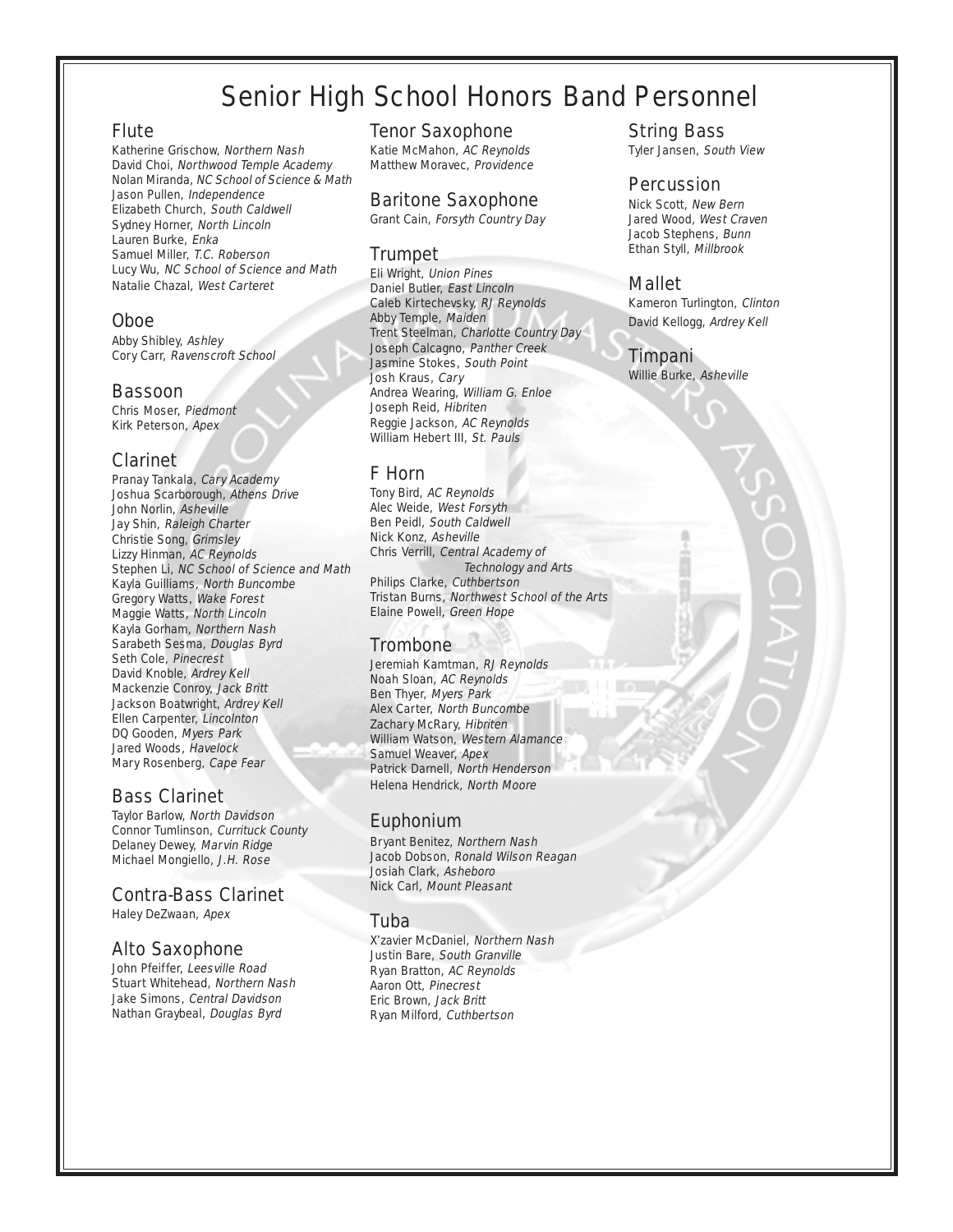## Senior High School Honors Band Personnel

#### Flute

Katherine Grischow, Northern Nash David Choi, Northwood Temple Academy Nolan Miranda, NC School of Science & Math Jason Pullen, Independence Elizabeth Church, South Caldwell Sydney Horner, North Lincoln Lauren Burke, Enka Samuel Miller, T.C. Roberson Lucy Wu, NC School of Science and Math Natalie Chazal, West Carteret

#### Oboe

Abby Shibley, Ashley Cory Carr, Ravenscroft School

#### Bassoon

Chris Moser, Piedmont Kirk Peterson, Apex

#### Clarinet

Pranay Tankala, Cary Academy Joshua Scarborough, Athens Drive John Norlin, Asheville Jay Shin, Raleigh Charter Christie Song, Grimsley Lizzy Hinman, AC Reynolds Stephen Li, NC School of Science and Math Kayla Guilliams, North Buncombe Gregory Watts, Wake Forest Maggie Watts, North Lincoln Kayla Gorham, Northern Nash Sarabeth Sesma, Douglas Byrd Seth Cole, Pinecrest David Knoble, Ardrey Kell Mackenzie Conroy, Jack Britt Jackson Boatwright, Ardrey Kell Ellen Carpenter, Lincolnton DQ Gooden, Myers Park Jared Woods, Havelock Mary Rosenberg, Cape Fear

#### Bass Clarinet

Taylor Barlow, North Davidson Connor Tumlinson, Currituck County Delaney Dewey, Marvin Ridge Michael Mongiello, J.H. Rose

#### Contra-Bass Clarinet

Haley DeZwaan, Apex

#### Alto Saxophone

John Pfeiffer, Leesville Road Stuart Whitehead, Northern Nash Jake Simons, Central Davidson Nathan Graybeal, Douglas Byrd

#### Tenor Saxophone

Katie McMahon, AC Reynolds Matthew Moravec, Providence

#### Baritone Saxophone

Grant Cain, Forsyth Country Day

#### Trumpet

Eli Wright, Union Pines Daniel Butler, East Lincoln Caleb Kirtechevsky, RJ Reynolds Abby Temple, Maiden Trent Steelman, Charlotte Country Day Joseph Calcagno, Panther Creek Jasmine Stokes, South Point Josh Kraus, Cary Andrea Wearing, William G. Enloe Joseph Reid, Hibriten Reggie Jackson, AC Reynolds William Hebert III, St. Pauls

#### F Horn

Tony Bird, AC Reynolds Alec Weide, West Forsyth Ben Peidl, South Caldwell Nick Konz, Asheville Chris Verrill, Central Academy of Technology and Arts Philips Clarke, Cuthbertson Tristan Burns, Northwest School of the Arts Elaine Powell, Green Hope

#### **Trombone**

Jeremiah Kamtman, RJ Reynolds Noah Sloan, AC Reynolds Ben Thyer, Myers Park Alex Carter, North Buncombe Zachary McRary, Hibriten William Watson, Western Alamance Samuel Weaver, Apex Patrick Darnell, North Henderson Helena Hendrick, North Moore

#### Euphonium

Bryant Benitez, Northern Nash Jacob Dobson, Ronald Wilson Reagan Josiah Clark, Asheboro Nick Carl, Mount Pleasant

#### Tuba

X'zavier McDaniel, Northern Nash Justin Bare, South Granville Ryan Bratton, AC Reynolds Aaron Ott, Pinecrest Eric Brown, Jack Britt Ryan Milford, Cuthbertson

String Bass Tyler Jansen, South View

#### Percussion

Nick Scott, New Bern Jared Wood, West Craven Jacob Stephens, Bunn Ethan Styll, Millbrook

#### Mallet

Kameron Turlington, Clinton David Kellogg, Ardrey Kell

#### Timpani

Willie Burke, Asheville